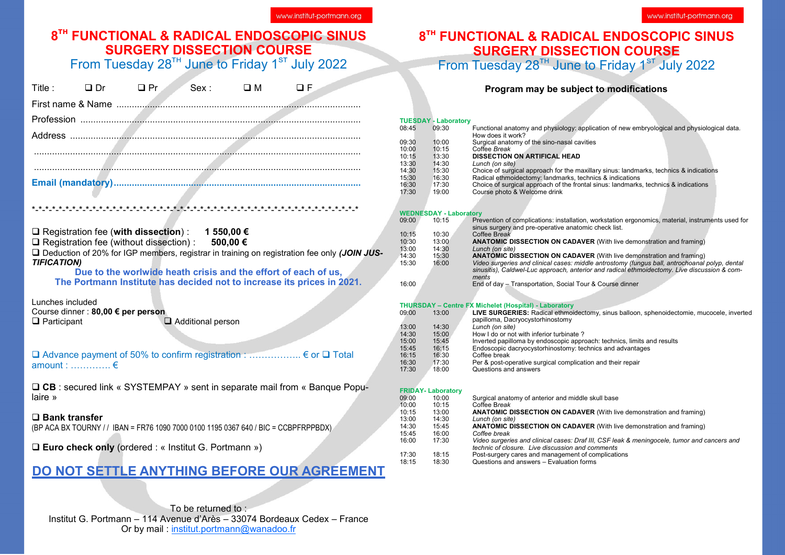#### **8 th FUNCTIONAL & RADICAL ENDOSCOPIC SINUS SURGERY DISSECTION COURSE**

From Tuesday  $28^{TH}$  June to Friday  $1^{ST}$  July 2022

| Title :                                                      |                                                                                                                                                        |                   | ODr OPr Sex: OM OF                                                                                                                                                                                                                        |                                             |
|--------------------------------------------------------------|--------------------------------------------------------------------------------------------------------------------------------------------------------|-------------------|-------------------------------------------------------------------------------------------------------------------------------------------------------------------------------------------------------------------------------------------|---------------------------------------------|
|                                                              |                                                                                                                                                        |                   |                                                                                                                                                                                                                                           |                                             |
|                                                              |                                                                                                                                                        |                   |                                                                                                                                                                                                                                           |                                             |
|                                                              |                                                                                                                                                        |                   |                                                                                                                                                                                                                                           |                                             |
|                                                              |                                                                                                                                                        |                   |                                                                                                                                                                                                                                           |                                             |
|                                                              |                                                                                                                                                        |                   |                                                                                                                                                                                                                                           |                                             |
|                                                              |                                                                                                                                                        |                   |                                                                                                                                                                                                                                           |                                             |
|                                                              |                                                                                                                                                        |                   |                                                                                                                                                                                                                                           |                                             |
|                                                              |                                                                                                                                                        |                   |                                                                                                                                                                                                                                           |                                             |
| <b>TIFICATION)</b><br>Lunches included<br>$\Box$ Participant | □ Registration fee (with dissection) : 1 550,00 $\epsilon$<br>□ Registration fee (without dissection) : 500,00 €<br>Course dinner : 80,00 € per person | Additional person | □ Deduction of 20% for IGP members, registrar in training on registration fee only (JOIN JUS-<br>Due to the worlwide heath crisis and the effort of each of us,<br>The Portmann Institute has decided not to increase its prices in 2021. |                                             |
| amount : …………. €                                             |                                                                                                                                                        |                   | <b>Q</b> Advance payment of 50% to confirm registration :  € or Q Total                                                                                                                                                                   |                                             |
| laire »                                                      |                                                                                                                                                        |                   | □ CB : secured link « SYSTEMPAY » sent in separate mail from « Banque Popu-                                                                                                                                                               |                                             |
| $\square$ Bank transfer                                      |                                                                                                                                                        |                   | (BP ACA BX TOURNY // IBAN = FR76 1090 7000 0100 1195 0367 640 / BIC = CCBPFRPPBDX)                                                                                                                                                        |                                             |
|                                                              | $\Box$ Euro check only (ordered : « Institut G. Portmann »)                                                                                            |                   |                                                                                                                                                                                                                                           |                                             |
|                                                              |                                                                                                                                                        |                   |                                                                                                                                                                                                                                           | DO NOT SETTLE ANYTHING BEFORE OUR AGREEMENT |
|                                                              |                                                                                                                                                        |                   |                                                                                                                                                                                                                                           |                                             |

To be returned to : Institut G. Portmann – 114 Avenue d'Arès – 33074 Bordeaux Cedex – France Or by mail : [institut.portmann@wanadoo.fr](mailto:institut.portmann@wanadoo.fr)

#### **8 th FUNCTIONAL & RADICAL ENDOSCOPIC SINUS SURGERY DISSECTION COURSE**

From Tuesday  $28^{th}$  June to Friday 1st July 2022

**Program may be subject to modifications**

|      |       | <b>TUESDAY - Laboratory</b>   |                                                                                                   |
|------|-------|-------------------------------|---------------------------------------------------------------------------------------------------|
|      | 08:45 | 09:30                         | Functional anatomy and physiology: application of new embryological and physiological data.       |
|      |       |                               | How does it work?                                                                                 |
|      | 09:30 | 10:00                         | Surgical anatomy of the sino-nasal cavities                                                       |
|      | 10:00 | 10:15                         | Coffee Break                                                                                      |
|      | 10:15 | 13:30                         | <b>DISSECTION ON ARTIFICAL HEAD</b>                                                               |
|      | 13:30 | 14:30                         | Lunch (on site)                                                                                   |
|      | 14:30 | 15:30                         | Choice of surgical approach for the maxillary sinus: landmarks, technics & indications            |
|      | 15:30 | 16:30                         | Radical ethmoidectomy: landmarks, technics & indications                                          |
|      | 16:30 | 17:30                         | Choice of surgical approach of the frontal sinus: landmarks, technics & indications               |
|      | 17:30 | 19:00                         | Course photo & Welcome drink                                                                      |
|      |       |                               |                                                                                                   |
|      |       |                               |                                                                                                   |
|      |       | <b>WEDNESDAY - Laboratory</b> |                                                                                                   |
|      | 09:00 | 10:15                         | Prevention of complications: installation, workstation ergonomics, material, instruments used for |
|      |       |                               | sinus surgery and pre-operative anatomic check list.                                              |
|      | 10:15 | 10:30                         | Coffee Break                                                                                      |
|      | 10:30 | 13:00                         | <b>ANATOMIC DISSECTION ON CADAVER (With live demonstration and framing)</b>                       |
| JUS- | 13:00 | 14:30                         | Lunch (on site)                                                                                   |
|      | 14:30 | 15:30                         | <b>ANATOMIC DISSECTION ON CADAVER (With live demonstration and framing)</b>                       |
|      | 15:30 | 16:00                         | Video surgeries and clinical cases: middle antrostomy (fungus ball, antrochoanal polyp, dental    |
|      |       |                               | sinusitis), Caldwel-Luc approach, anterior and radical ethmoidectomy. Live discussion & com-      |
|      |       |                               | ments                                                                                             |
|      | 16:00 |                               | End of day - Transportation, Social Tour & Course dinner                                          |
|      |       |                               |                                                                                                   |
|      |       |                               | <b>THURSDAY - Centre FX Michelet (Hospital) - Laboratory</b>                                      |
|      | 09:00 | 13:00                         | LIVE SURGERIES: Radical ethmoidectomy, sinus balloon, sphenoidectomie, mucocele, inverted         |
|      |       |                               | papilloma, Dacryocystorhinostomy                                                                  |
|      | 13:00 | 14:30                         | Lunch (on site)                                                                                   |
|      | 14:30 | 15:00                         | How I do or not with inferior turbinate?                                                          |
|      | 15:00 | 15:45                         | Inverted papilloma by endoscopic approach: technics, limits and results                           |
|      | 15:45 | 16:15                         | Endoscopic dacryocystorhinostomy: technics and advantages                                         |
|      | 16:15 | 16:30                         | Coffee break                                                                                      |
|      | 16:30 | 17:30                         | Per & post-operative surgical complication and their repair                                       |
|      | 17:30 | 18:00                         | Questions and answers                                                                             |
|      |       |                               |                                                                                                   |
|      |       |                               |                                                                                                   |
|      |       | <b>FRIDAY-Laboratory</b>      |                                                                                                   |
|      | 09:00 | 10:00                         | Surgical anatomy of anterior and middle skull base                                                |
|      | 10:00 | 10:15                         | Coffee Break                                                                                      |
|      | 10.15 | 13.00                         | <b>ANATOMIC DISSECTION ON CADAVER (With live demonstration and framing)</b>                       |

- 10:15 13:00 **ANATOMIC DISSECTION ON CADAVER** (With live demonstration and framing) 13:00 14:30 *Lunch (on site)*
- 14:30 15:45 **ANATOMIC DISSECTION ON CADAVER** (With live demonstration and framing)
- 15:45 16:00 *Coffee break*
	- 16:00 17:30 *Video surgeries and clinical cases: Draf III, CSF leak & meningocele, tumor and cancers and technic of closure. Live discussion and comments*
- 17:30 18:15 Post-surgery cares and management of complications<br>18:15 18:30 Ouestions and answers Evaluation forms
	- 18:15 18:30 Questions and answers Evaluation forms